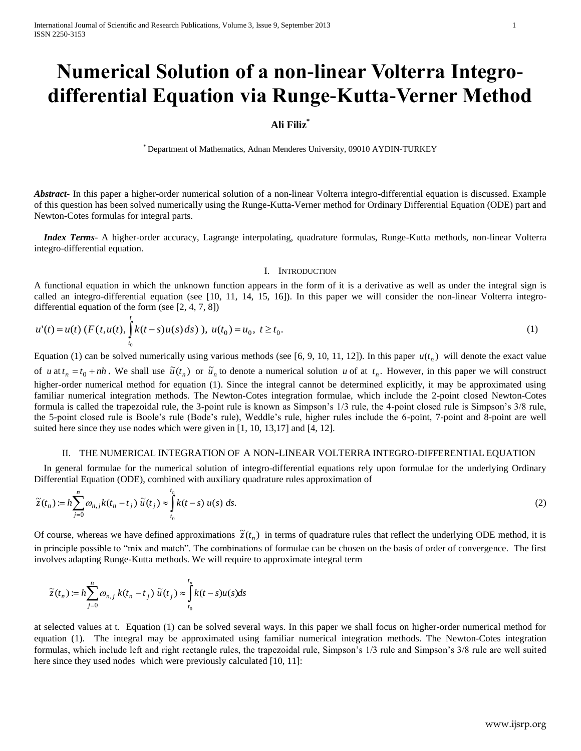# **Numerical Solution of a non-linear Volterra Integrodifferential Equation via Runge-Kutta-Verner Method**

## **Ali Filiz\***

\* Department of Mathematics, Adnan Menderes University, 09010 AYDIN-TURKEY

*Abstract***-** In this paper a higher-order numerical solution of a non-linear Volterra integro-differential equation is discussed. Example of this question has been solved numerically using the Runge-Kutta-Verner method for Ordinary Differential Equation (ODE) part and Newton-Cotes formulas for integral parts.

 *Index Terms*- A higher-order accuracy, Lagrange interpolating, quadrature formulas, Runge-Kutta methods, non-linear Volterra integro-differential equation.

## I. INTRODUCTION

A functional equation in which the unknown function appears in the form of it is a derivative as well as under the integral sign is called an integro-differential equation (see [10, 11, 14, 15, 16]). In this paper we will consider the non-linear Volterra integrodifferential equation of the form (see [2, 4, 7, 8])

$$
u'(t) = u(t) \left( F(t, u(t), \int_{t_0}^t k(t-s)u(s) ds) \right), \ u(t_0) = u_0, \ t \ge t_0.
$$
 (1)

Equation (1) can be solved numerically using various methods (see [6, 9, 10, 11, 12]). In this paper  $u(t_n)$  will denote the exact value of u at  $t_n = t_0 + nh$ . We shall use  $\tilde{u}(t_n)$  or  $\tilde{u}_n$  to denote a numerical solution u of at  $t_n$ . However, in this paper we will construct higher-order numerical method for equation (1). Since the integral cannot be determined explicitly, it may be approximated using familiar numerical integration methods. The Newton-Cotes integration formulae, which include the 2-point closed Newton-Cotes formula is called the trapezoidal rule, the 3-point rule is known as Simpson's 1/3 rule, the 4-point closed rule is Simpson's 3/8 rule, the 5-point closed rule is Boole's rule (Bode's rule), Weddle's rule, higher rules include the 6-point, 7-point and 8-point are well suited here since they use nodes which were given in [1, 10, 13,17] and [4, 12].

## II. THE NUMERICAL INTEGRATION OF A NON-LINEAR VOLTERRA INTEGRO-DIFFERENTIAL EQUATION

 In general formulae for the numerical solution of integro-differential equations rely upon formulae for the underlying Ordinary Differential Equation (ODE), combined with auxiliary quadrature rules approximation of

$$
\widetilde{z}(t_n) := h \sum_{j=0}^n \omega_{n,j} k(t_n - t_j) \widetilde{u}(t_j) \approx \int_{t_0}^{t_n} k(t - s) u(s) ds.
$$
\n
$$
(2)
$$

Of course, whereas we have defined approximations  $\tilde{z}(t_n)$  in terms of quadrature rules that reflect the underlying ODE method, it is in principle possible to "mix and match". The combinations of formulae can be chosen on the basis of order of convergence. The first involves adapting Runge-Kutta methods. We will require to approximate integral term

$$
\widetilde{z}(t_n) := h \sum_{j=0}^n \omega_{n,j} k(t_n - t_j) \widetilde{u}(t_j) \approx \int_{t_0}^{t_n} k(t - s) u(s) ds
$$

at selected values at t. Equation (1) can be solved several ways. In this paper we shall focus on higher-order numerical method for equation (1). The integral may be approximated using familiar numerical integration methods. The Newton-Cotes integration formulas, which include left and right rectangle rules, the trapezoidal rule, Simpson's 1/3 rule and Simpson's 3/8 rule are well suited here since they used nodes which were previously calculated [10, 11]: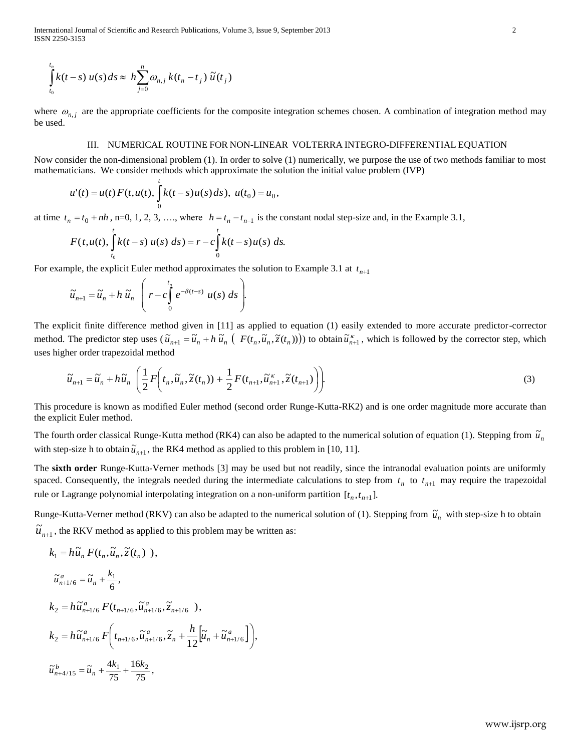International Journal of Scientific and Research Publications, Volume 3, Issue 9, September 2013 2 ISSN 2250-3153

$$
\int_{t_0}^{t_n} k(t-s) u(s) ds \approx h \sum_{j=0}^n \omega_{n,j} k(t_n-t_j) \widetilde{u}(t_j)
$$

where  $\omega_{n,j}$  are the appropriate coefficients for the composite integration schemes chosen. A combination of integration method may be used.

### III. NUMERICAL ROUTINE FOR NON-LINEAR VOLTERRA INTEGRO-DIFFERENTIAL EQUATION

Now consider the non-dimensional problem (1). In order to solve (1) numerically, we purpose the use of two methods familiar to most mathematicians. We consider methods which approximate the solution the initial value problem (IVP)

$$
u'(t) = u(t) F(t, u(t), \int_{0}^{t} k(t - s) u(s) ds), \ u(t_0) = u_0,
$$

at time  $t_n = t_0 + nh$ , n=0, 1, 2, 3, …, where  $h = t_n - t_{n-1}$  is the constant nodal step-size and, in the Example 3.1,

$$
F(t, u(t), \int_{t_0}^t k(t-s) u(s) ds) = r - c \int_0^t k(t-s) u(s) ds.
$$

For example, the explicit Euler method approximates the solution to Example 3.1 at  $t_{n+1}$ 

$$
\widetilde{u}_{n+1} = \widetilde{u}_n + h \ \widetilde{u}_n \ \left( r - c \int_0^{t_n} e^{-\delta(t-s)} \ u(s) \ ds \right).
$$

The explicit finite difference method given in [11] as applied to equation (1) easily extended to more accurate predictor-corrector method. The predictor step uses  $(\tilde{u}_{n+1} = \tilde{u}_n + h \tilde{u}_n (F(t_n, \tilde{u}_n, \tilde{z}(t_n))))$  to obtain  $\tilde{u}_{n+1}^k$ , which is followed by the corrector step, which uses higher order trapezoidal method

$$
\widetilde{u}_{n+1} = \widetilde{u}_n + h\widetilde{u}_n \left( \frac{1}{2} F\left(t_n, \widetilde{u}_n, \widetilde{z}(t_n) \right) + \frac{1}{2} F(t_{n+1}, \widetilde{u}_{n+1}^{\kappa}, \widetilde{z}(t_{n+1}) \right) \tag{3}
$$

This procedure is known as modified Euler method (second order Runge-Kutta-RK2) and is one order magnitude more accurate than the explicit Euler method.

The fourth order classical Runge-Kutta method (RK4) can also be adapted to the numerical solution of equation (1). Stepping from  $\tilde{u}_n$ with step-size h to obtain  $\tilde{u}_{n+1}$ , the RK4 method as applied to this problem in [10, 11].

The **sixth order** Runge-Kutta-Verner methods [3] may be used but not readily, since the intranodal evaluation points are uniformly spaced. Consequently, the integrals needed during the intermediate calculations to step from  $t_n$  to  $t_{n+1}$  may require the trapezoidal rule or Lagrange polynomial interpolating integration on a non-uniform partition  $[t_n, t_{n+1}]$ .

Runge-Kutta-Verner method (RKV) can also be adapted to the numerical solution of (1). Stepping from  $\tilde{u}_n$  with step-size h to obtain  $\widetilde{u}_{n+1}$ , the RKV method as applied to this problem may be written as:

> J  $\backslash$

$$
k_1 = h\tilde{u}_n F(t_n, \tilde{u}_n, \tilde{z}(t_n)),
$$
  
\n
$$
\tilde{u}_{n+1/6}^a = \tilde{u}_n + \frac{k_1}{6},
$$
  
\n
$$
k_2 = h\tilde{u}_{n+1/6}^a F(t_{n+1/6}, \tilde{u}_{n+1/6}^a, \tilde{z}_{n+1/6}^a),
$$
  
\n
$$
k_2 = h\tilde{u}_{n+1/6}^a F\left(t_{n+1/6}, \tilde{u}_{n+1/6}^a, \tilde{z}_n + \frac{h}{12} [\tilde{u}_n + \tilde{u}_{n+1/6}^a] \right),
$$
  
\n
$$
\tilde{u}_{n+4/15}^b = \tilde{u}_n + \frac{4k_1}{75} + \frac{16k_2}{75},
$$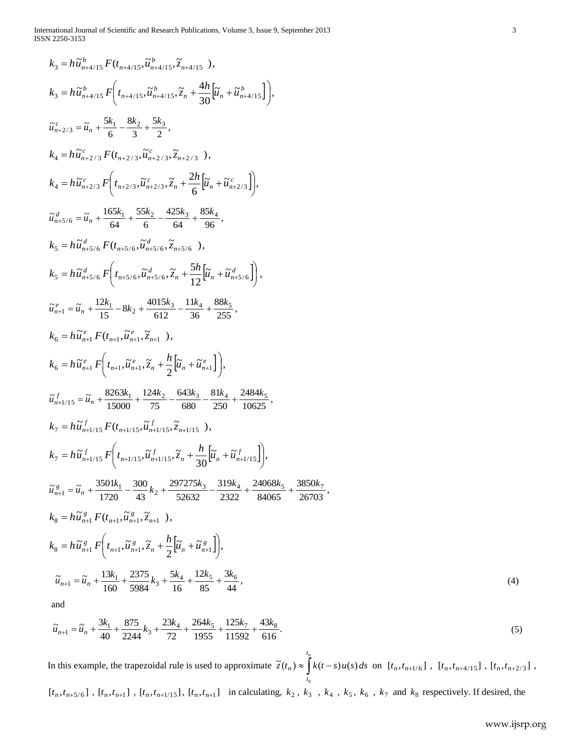International Journal of Scientific and Research Publications, Volume 3, Issue 9, September 2013 3 ISSN 2250-3153

$$
k_{3} = h\tilde{u}_{n+4/15}^{b} F(t_{n+4/15}, \tilde{u}_{n+4/15}^{b} z_{n+4/15}, \tilde{z}_{n+4/15}, \tilde{z}_{n} + \frac{4h}{30} [\tilde{u}_{n} + \tilde{u}_{n+4/15}^{b}] \}
$$
\n
$$
k_{3} = h\tilde{u}_{n+4/15}^{b} F(t_{n+4/15}, \tilde{u}_{n+2/15}^{b} z_{n+2/3}, \tilde{z}_{n} + \frac{4h}{30} [\tilde{u}_{n} + \tilde{u}_{n+4/3}^{b}] \}
$$
\n
$$
\tilde{u}_{n+2/3}^{c} = \tilde{u}_{n} + \frac{5k_{1}}{6} \frac{8k_{3}}{3} + \frac{5k_{2}}{2},
$$
\n
$$
k_{4} = h\tilde{u}_{n+2/3}^{c} F(t_{n+2/3}, \tilde{u}_{n+2/3}^{c} z_{n+2/3} \cdot \tilde{z}_{n} + \frac{2h}{6} [\tilde{u}_{n} + \tilde{u}_{n+2/3}^{c}] \]
$$
\n
$$
\tilde{u}_{n+3/6}^{d} = \tilde{u}_{n} + \frac{165k_{1}}{64} + \frac{55k_{2}}{64} - \frac{425k_{5}}{64} + \frac{85k_{5}}{64},
$$
\n
$$
k_{5} = h\tilde{u}_{n+5/6}^{d} F(t_{n+5/6}, \tilde{u}_{n+5/6}^{d} z_{n+5/6} \cdot \tilde{z}_{n+5/6} \cdot \tilde{z}_{n+5/6} \cdot \tilde{z}_{n+5/6} \cdot \tilde{z}_{n+5/6} \cdot \tilde{z}_{n+5/6} \cdot \tilde{z}_{n+5/6} \cdot \tilde{z}_{n+5/6} \cdot \tilde{z}_{n+5/6} \cdot \tilde{z}_{n+5/6} \cdot \tilde{z}_{n+5/6} \cdot \tilde{z}_{n+5/6} \cdot \tilde{z}_{n+5/6} \cdot \tilde{z}_{n+5/6} \cdot \tilde{z}_{n+5/6} \cdot \tilde{z}_{n+5
$$

and

$$
\widetilde{u}_{n+1} = \widetilde{u}_n + \frac{3k_1}{40} + \frac{875}{2244}k_3 + \frac{23k_4}{72} + \frac{264k_5}{1955} + \frac{125k_7}{11592} + \frac{43k_8}{616}.
$$
\n<sup>(5)</sup>

In this example, the trapezoidal rule is used to approximate  $\tilde{z}(t_n) \approx |k(t-s)u(s)| ds$ *n t*  $\tilde{z}(t_n) \approx \int_{t_0}^t k(t-s)u(s) ds$  on  $[t_n, t_{n+1/6}]$ ,  $[t_n, t_{n+4/15}]$ ,  $[t_n, t_{n+2/3}]$ , 0  $[t_n, t_{n+5/6}]$ ,  $[t_n, t_{n+1}]$ ,  $[t_n, t_{n+1/15}]$ ,  $[t_n, t_{n+1}]$  in calculating,  $k_2$ ,  $k_3$ ,  $k_4$ ,  $k_5$ ,  $k_6$ ,  $k_7$  and  $k_8$  respectively. If desired, the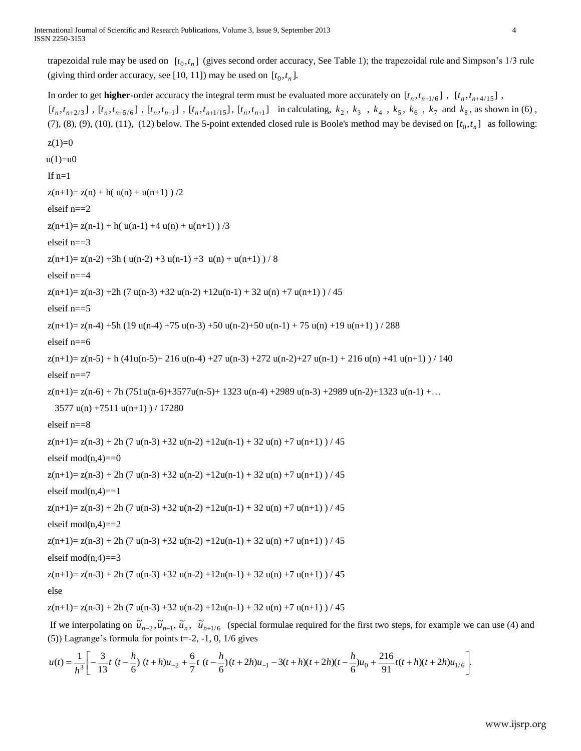trapezoidal rule may be used on  $[t_0, t_n]$  (gives second order accuracy, See Table 1); the trapezoidal rule and Simpson's  $1/3$  rule (giving third order accuracy, see [10, 11]) may be used on  $[t_0, t_n]$ .

In order to get **higher**-order accuracy the integral term must be evaluated more accurately on  $[t_n, t_{n+1/6}]$ ,  $[t_n, t_{n+4/15}]$ ,  $[t_n, t_{n+2/3}]$ ,  $[t_n, t_{n+5/6}]$ ,  $[t_n, t_{n+1}]$ ,  $[t_n, t_{n+1/15}]$ ,  $[t_n, t_{n+1}]$  in calculating,  $k_2$ ,  $k_3$ ,  $k_4$ ,  $k_5$ ,  $k_6$ ,  $k_7$  and  $k_8$ , as shown in (6),  $(7)$ ,  $(8)$ ,  $(9)$ ,  $(10)$ ,  $(11)$ ,  $(12)$  below. The 5-point extended closed rule is Boole's method may be devised on  $[t_0, t_n]$  as following:

 $z(1)=0$  $u(1)=u0$ If  $n=1$  $z(n+1)= z(n) + h(u(n) + u(n+1))$  /2 elseif n==2  $z(n+1)= z(n-1) + h(u(n-1) + 4 u(n) + u(n+1) )$  /3 elseif n==3  $z(n+1)= z(n-2) +3h ( u(n-2) +3 u(n-1) +3 u(n) + u(n+1) ) / 8$ elseif n==4  $z(n+1) = z(n-3) + 2h (7 u(n-3) + 32 u(n-2) + 12u(n-1) + 32 u(n) + 7 u(n+1) ) / 45$ elseif n==5  $z(n+1)= z(n-4) + 5h (19 u(n-4) + 75 u(n-3) + 50 u(n-2) + 50 u(n-1) + 75 u(n) +19 u(n+1) )$  / 288 elseif n==6  $z(n+1)= z(n-5) + h (41u(n-5)+ 216 u(n-4) +27 u(n-3) +272 u(n-2)+27 u(n-1) + 216 u(n) +41 u(n+1) )$  / 140 elseif n==7  $z(n+1)= z(n-6) + 7h (751u(n-6)+3577u(n-5)+1323u(n-4)+2989u(n-3)+2989u(n-2)+1323u(n-1)+...$  3577 u(n) +7511 u(n+1) ) / 17280 elseif n==8  $z(n+1) = z(n-3) + 2h (7 u(n-3) + 32 u(n-2) + 12u(n-1) + 32 u(n) + 7 u(n+1) ) / 45$ elseif  $mod(n,4)=0$  $z(n+1) = z(n-3) + 2h (7 u(n-3) + 32 u(n-2) + 12u(n-1) + 32 u(n) + 7 u(n+1) ) / 45$ elseif  $mod(n,4)=1$  $z(n+1) = z(n-3) + 2h (7 u(n-3) +32 u(n-2) +12u(n-1) + 32 u(n) +7 u(n+1) )$  / 45 elseif  $mod(n,4)=2$  $z(n+1) = z(n-3) + 2h (7 u(n-3) + 32 u(n-2) + 12u(n-1) + 32 u(n) + 7 u(n+1) ) / 45$ elseif  $mod(n,4)=3$  $z(n+1) = z(n-3) + 2h (7 u(n-3) + 32 u(n-2) + 12u(n-1) + 32 u(n) + 7 u(n+1) ) / 45$ else  $z(n+1) = z(n-3) + 2h (7 u(n-3) + 32 u(n-2) + 12u(n-1) + 32 u(n) + 7 u(n+1) ) / 45$ 

If we interpolating on  $\tilde{u}_{n-2}, \tilde{u}_{n-1}, \tilde{u}_n, \tilde{u}_{n+1/6}$  (special formulae required for the first two steps, for example we can use (4) and (5)) Lagrange's formula for points  $t=-2, -1, 0, 1/6$  gives

$$
u(t) = \frac{1}{h^3} \Bigg[ -\frac{3}{13} t \ (t - \frac{h}{6}) \ (t + h) u_{-2} + \frac{6}{7} t \ (t - \frac{h}{6}) (t + 2h) u_{-1} - 3 (t + h) (t + 2h) (t - \frac{h}{6}) u_0 + \frac{216}{91} t (t + h) (t + 2h) u_{1/6} \Bigg].
$$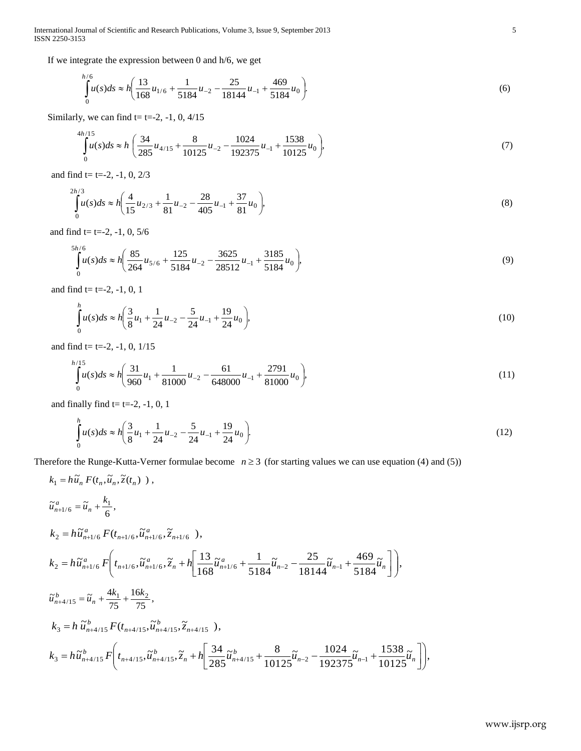International Journal of Scientific and Research Publications, Volume 3, Issue 9, September 2013 5 ISSN 2250-3153

If we integrate the expression between 0 and h/6, we get

$$
\int_{0}^{h/6} u(s)ds \approx h \left( \frac{13}{168} u_{1/6} + \frac{1}{5184} u_{-2} - \frac{25}{18144} u_{-1} + \frac{469}{5184} u_0 \right). \tag{6}
$$

Similarly, we can find  $t=$  t=-2, -1, 0, 4/15

$$
\text{array, we can find } t = t = -2, -1, 0, 4/15
$$
\n
$$
\int_{0}^{4h/15} u(s)ds \approx h \left( \frac{34}{285} u_{4/15} + \frac{8}{10125} u_{-2} - \frac{1024}{192375} u_{-1} + \frac{1538}{10125} u_0 \right),\tag{7}
$$

and find  $t=$  t=-2, -1, 0, 2/3

$$
\int_{0}^{2h/3} u(s)ds \approx h \left( \frac{4}{15} u_{2/3} + \frac{1}{81} u_{-2} - \frac{28}{405} u_{-1} + \frac{37}{81} u_0 \right),\tag{8}
$$

and find  $t=$  t=-2, -1, 0, 5/6

$$
\int_{0}^{5h/6} u(s)ds \approx h \left( \frac{85}{264} u_{5/6} + \frac{125}{5184} u_{-2} - \frac{3625}{28512} u_{-1} + \frac{3185}{5184} u_0 \right),\tag{9}
$$

and find  $t=$  t=-2, -1, 0, 1

$$
\int_{0}^{h} u(s)ds \approx h \left( \frac{3}{8}u_1 + \frac{1}{24}u_{-2} - \frac{5}{24}u_{-1} + \frac{19}{24}u_0 \right),
$$
\n(10)

and find t= t=-2, -1, 0, 1/15<br> $h/15$ 

$$
\int_{0}^{h/15} u(s)ds \approx h \left( \frac{31}{960} u_1 + \frac{1}{81000} u_{-2} - \frac{61}{648000} u_{-1} + \frac{2791}{81000} u_0 \right),\tag{11}
$$

and finally find  $t=$  t=-2, -1, 0, 1

$$
\int_{0}^{h} u(s)ds \approx h \left( \frac{3}{8}u_1 + \frac{1}{24}u_{-2} - \frac{5}{24}u_{-1} + \frac{19}{24}u_0 \right).
$$
\n(12)

Therefore the Runge-Kutta-Verner formulae become  $n \geq 3$  (for starting values we can use equation (4) and (5))

$$
k_{1} = h\tilde{u}_{n} F(t_{n}, \tilde{u}_{n}, \tilde{z}(t_{n})) ,
$$
  
\n
$$
\tilde{u}_{n+1/6}^{a} = \tilde{u}_{n} + \frac{k_{1}}{6},
$$
  
\n
$$
k_{2} = h\tilde{u}_{n+1/6}^{a} F(t_{n+1/6}, \tilde{u}_{n+1/6}^{a}, \tilde{z}_{n+1/6}),
$$
  
\n
$$
k_{2} = h\tilde{u}_{n+1/6}^{a} F\left(t_{n+1/6}, \tilde{u}_{n+1/6}^{a}, \tilde{z}_{n} + h\left[\frac{13}{168}\tilde{u}_{n+1/6}^{a} + \frac{1}{5184}\tilde{u}_{n-2} - \frac{25}{18144}\tilde{u}_{n-1} + \frac{469}{5184}\tilde{u}_{n}\right]\right),
$$
  
\n
$$
\tilde{u}_{n+4/15}^{b} = \tilde{u}_{n} + \frac{4k_{1}}{75} + \frac{16k_{2}}{75},
$$
  
\n
$$
k_{3} = h\tilde{u}_{n+4/15}^{b} F(t_{n+4/15}, \tilde{u}_{n+4/15}^{b}, \tilde{z}_{n+4/15}),
$$
  
\n
$$
k_{4} = h\tilde{u}_{n+4/15}^{b} F\left(t_{n+4/15}, \tilde{u}_{n+4/15}^{b}, \tilde{z}_{n} + h\left[\frac{34}{285}\tilde{u}_{n+4/15}^{b} + \frac{8}{10125}\tilde{u}_{n-2} - \frac{1024}{192375}\tilde{u}_{n-1} + \frac{1538}{10125}\tilde{u}_{n}\right]\right),
$$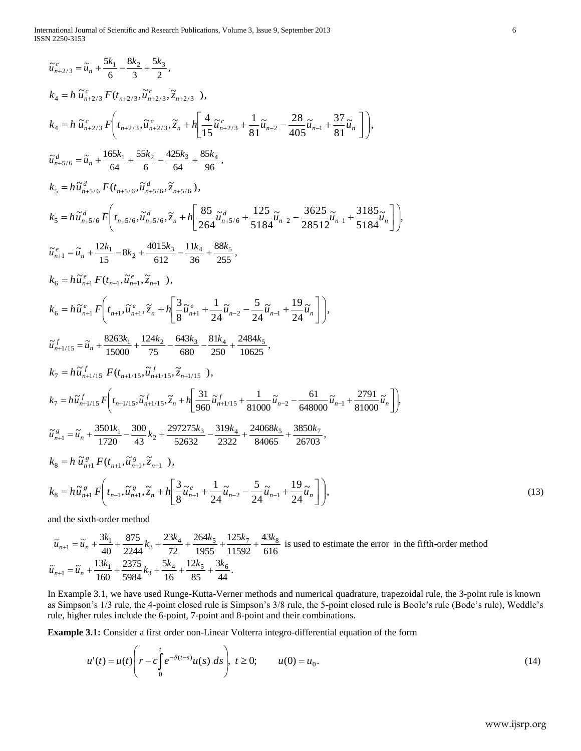International Journal of Scientific and Research Publications, Volume 3, Issue 9, September 2013 6 ISSN 2250-3153

$$
\overrightarrow{u}_{n+2/3}^2 = \overrightarrow{u}_n + \frac{5k_1}{6} - \frac{8k_2}{3} + \frac{5k_2}{2},
$$
\n
$$
k_4 = h \overrightarrow{u}_{n+2/3}^c F(t_{n+2/3}, \overrightarrow{u}_{n+2/3}, \overrightarrow{z}_{n+2/3}),
$$
\n
$$
k_4 = h \overrightarrow{u}_{n+2/3}^c F(t_{n+2/3}, \overrightarrow{u}_{n+2/3}, \overrightarrow{z}_{n+2/3}),
$$
\n
$$
k_4 = h \overrightarrow{u}_{n+2/3}^c F(t_{n+2/3}, \overrightarrow{u}_{n+2/3}, \overrightarrow{z}_{n+2/3} + \frac{1}{8} \overrightarrow{u}_{n-2} - \frac{28}{403} \overrightarrow{u}_{n-1} + \frac{37}{81} \overrightarrow{u}_n \Bigg).
$$
\n
$$
\overrightarrow{u}_{n,3/6}^d = \overrightarrow{u}_n + \frac{165k_1}{64} + \frac{55k_2}{64} - \frac{425k_3}{64} + \frac{85k_4}{96},
$$
\n
$$
k_5 = h \overrightarrow{u}_{n+3/6}^d F(t_{n+3/6}, \overrightarrow{u}_{n+3/6}^d, \overrightarrow{z}_n + \overrightarrow{h} \Bigg[ \frac{8}{26} \overrightarrow{u}_{n+3/6}^d + \frac{125}{5184} \overrightarrow{u}_{n-2} - \frac{3625}{2851} \overrightarrow{u}_{n+1} + \frac{1815}{5184} \overrightarrow{u}_n \Bigg] \Bigg],
$$
\n
$$
\overrightarrow{u}_{n+1}^d = \overrightarrow{u}_n + \frac{12k_1}{15} - 8k_2 + \frac{4015k_1}{612} - \frac{11k_4}{36} + \frac{88k_5}{255},
$$
\n
$$
k_6 = h \overrightarrow{u}_{n+1}^c F(t_{n+1}, \overrightarrow{u}_{n+1}^c, \overrightarrow{u}_n + \overrightarrow{h} \Bigg[ \overrightarrow{u}_{n+1}^c, \overrightarrow{u}_n + \frac{12}{15} \overrightarrow{u}_{n+2} - \frac{5}{24} \
$$

and the sixth-order method

$$
\widetilde{u}_{n+1} = \widetilde{u}_n + \frac{3k_1}{40} + \frac{875}{2244}k_3 + \frac{23k_4}{72} + \frac{264k_5}{1955} + \frac{125k_7}{11592} + \frac{43k_8}{616}
$$
 is used to estimate the error in the fifth-order method  

$$
\widetilde{u}_{n+1} = \widetilde{u}_n + \frac{13k_1}{160} + \frac{2375}{5984}k_3 + \frac{5k_4}{16} + \frac{12k_5}{85} + \frac{3k_6}{44}.
$$

In Example 3.1, we have used Runge-Kutta-Verner methods and numerical quadrature, trapezoidal rule, the 3-point rule is known as Simpson's 1/3 rule, the 4-point closed rule is Simpson's 3/8 rule, the 5-point closed rule is Boole's rule (Bode's rule), Weddle's rule, higher rules include the 6-point, 7-point and 8-point and their combinations.

**Example 3.1:** Consider a first order non-Linear Volterra integro-differential equation of the form

$$
u'(t) = u(t) \left( r - c \int_0^t e^{-\delta(t-s)} u(s) \, ds \right), \ t \ge 0; \qquad u(0) = u_0. \tag{14}
$$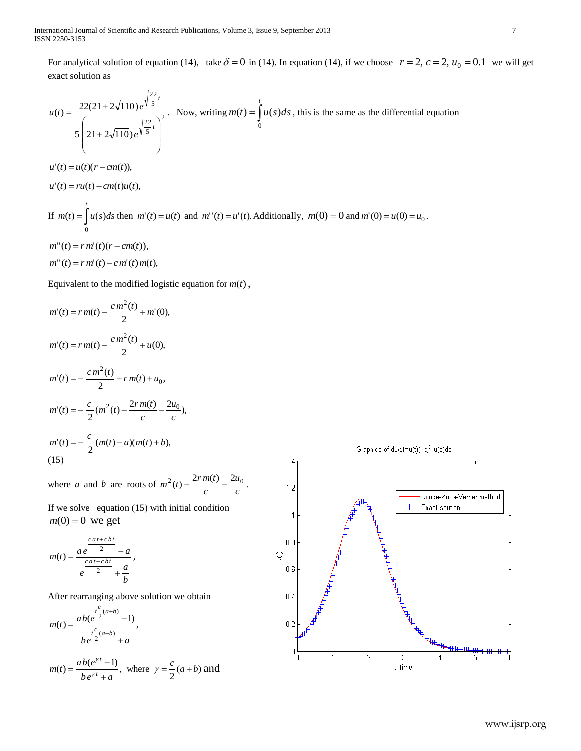For analytical solution of equation (14), take  $\delta = 0$  in (14). In equation (14), if we choose  $r = 2$ ,  $c = 2$ ,  $u_0 = 0.1$  we will get exact solution as

$$
u(t) = \frac{22(21+2\sqrt{110})e^{\sqrt{\frac{22}{5}}t}}{5\left(21+2\sqrt{110}\right)e^{\sqrt{\frac{22}{5}}t}}.
$$
 Now, writing  $m(t) = \int_{0}^{t} u(s)ds$ , this is the same as the differential equation

 $u'(t) = u(t)(r - cm(t)),$ 

 $u'(t) = ru(t) - cm(t)u(t),$ 

If 
$$
m(t) = \int_0^t u(s)ds
$$
 then  $m'(t) = u(t)$  and  $m''(t) = u'(t)$ . Additionally,  $m(0) = 0$  and  $m'(0) = u(0) = u_0$ .

 $m''(t) = r m'(t) - c m'(t) m(t),$  $m''(t) = rm'(t)(r - cm(t)),$ 

Equivalent to the modified logistic equation for  $m(t)$ ,

$$
m'(t) = r m(t) - \frac{cm^2(t)}{2} + m'(0),
$$
  
\n
$$
m'(t) = r m(t) - \frac{cm^2(t)}{2} + u(0),
$$
  
\n
$$
m'(t) = -\frac{cm^2(t)}{2} + r m(t) + u_0,
$$
  
\n
$$
m'(t) = -\frac{c}{2}(m^2(t) - \frac{2rm(t)}{c} - \frac{2u_0}{c}),
$$
  
\n
$$
m'(t) = -\frac{c}{2}(m(t) - a)(m(t) + b),
$$
  
\n(15)

where *a* and *b* are roots of  $m^2(t) - \frac{2rm(t)}{2m} - \frac{2u_0}{2m}$ . *c u c*  $m^2(t) - \frac{2rm(t)}{t}$ 

If we solve equation (15) with initial condition  $m(0) = 0$  we get

$$
m(t) = \frac{\frac{cat + cbt}{2}}{e^{\frac{cat + cbt}{2}}} + \frac{a}{b},
$$

After rearranging above solution we obtain

$$
m(t) = \frac{ab(e^{\frac{t^{c}}{2}(a+b)} - 1)}{be^{\frac{t^{c}}{2}(a+b)} + a},
$$

$$
m(t) = \frac{ab(e^{\gamma t} - 1)}{be^{\gamma t} + a}
$$
, where  $\gamma = \frac{c}{2}(a+b)$  and

Graphics of  $du/dt = u(t)(r \cdot c \frac{d}{dt} u(s) ds)$